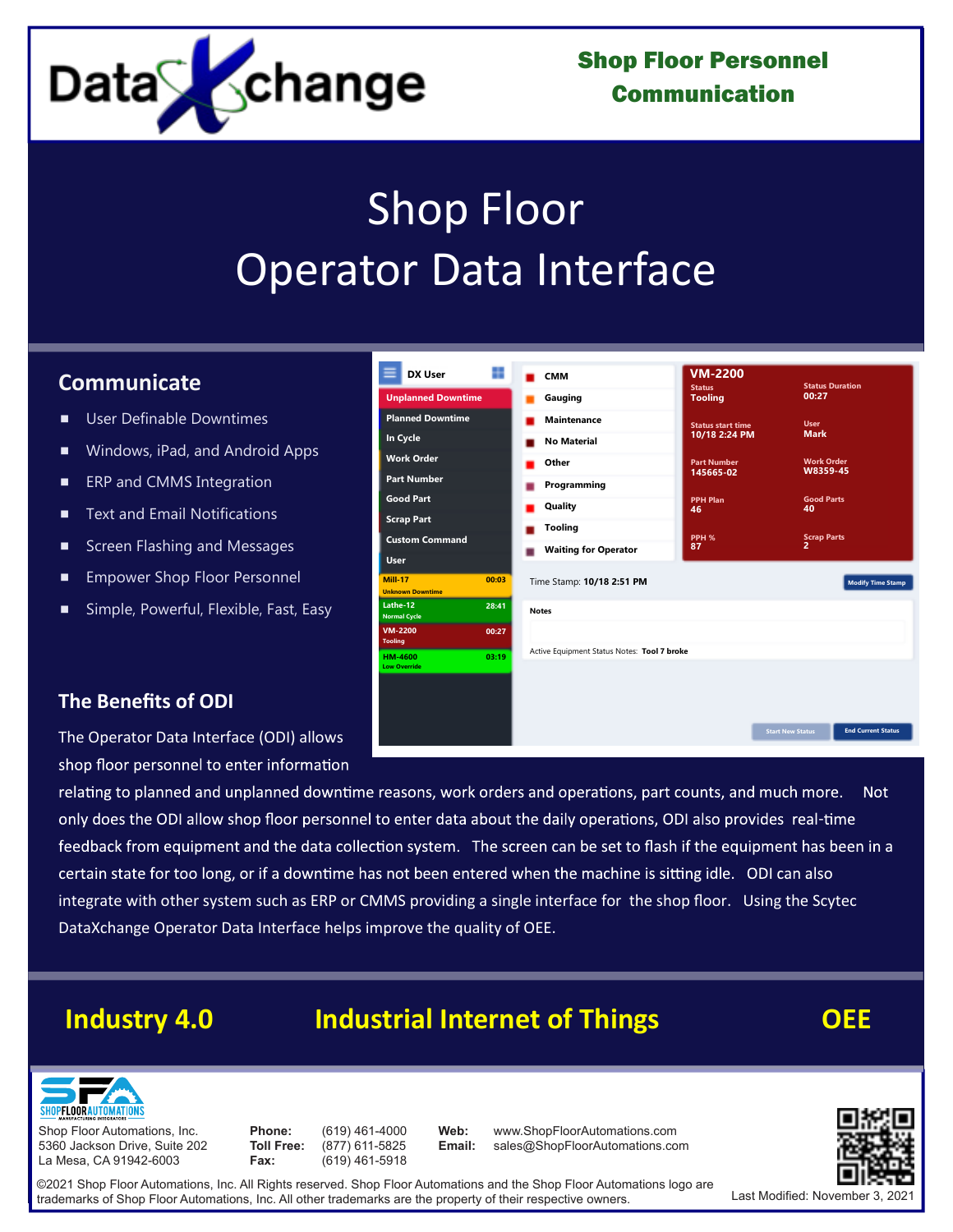

Shop Floor Personnel Communication

# Shop Floor Operator Data Interface

# **Communicate**

- User Definable Downtimes
- Windows, iPad, and Android Apps
- **ERP and CMMS Integration**
- Text and Email Notifications
- Screen Flashing and Messages
- **Empower Shop Floor Personnel**
- Simple, Powerful, Flexible, Fast, Easy

| <b>DX User</b>                            | n     | <b>CMM</b>                                  | <b>VM-2200</b>                  |                                                      |  |  |
|-------------------------------------------|-------|---------------------------------------------|---------------------------------|------------------------------------------------------|--|--|
| <b>Unplanned Downtime</b>                 |       |                                             | <b>Status</b><br><b>Tooling</b> | <b>Status Duration</b><br>00:27                      |  |  |
|                                           |       | Gauging                                     |                                 |                                                      |  |  |
| <b>Planned Downtime</b>                   |       | <b>Maintenance</b>                          | <b>Status start time</b>        | <b>User</b>                                          |  |  |
| In Cycle                                  |       | <b>No Material</b>                          | 10/18 2:24 PM                   | <b>Mark</b>                                          |  |  |
| <b>Work Order</b>                         |       | Other<br><b>Part Number</b>                 |                                 | <b>Work Order</b>                                    |  |  |
| <b>Part Number</b>                        |       | Programming                                 | 145665-02                       | W8359-45                                             |  |  |
| <b>Good Part</b>                          |       | Quality                                     | <b>PPH Plan</b><br>46           | <b>Good Parts</b><br>40                              |  |  |
| <b>Scrap Part</b>                         |       | <b>Tooling</b>                              |                                 |                                                      |  |  |
| <b>Custom Command</b>                     |       |                                             | PPH %<br>87                     | <b>Scrap Parts</b><br>$\overline{ }$                 |  |  |
| <b>User</b>                               |       | <b>Waiting for Operator</b>                 |                                 |                                                      |  |  |
| <b>Mill-17</b><br><b>Unknown Downtime</b> | 00:03 | Time Stamp: 10/18 2:51 PM                   |                                 | <b>Modify Time Stamp</b>                             |  |  |
| Lathe-12<br>Normal Cycle                  | 28:41 | <b>Notes</b>                                |                                 |                                                      |  |  |
| VM-2200<br><b>Tooling</b>                 | 00:27 |                                             |                                 |                                                      |  |  |
| HM-4600<br><b>Low Override</b>            | 03:19 | Active Equipment Status Notes: Tool 7 broke |                                 |                                                      |  |  |
|                                           |       |                                             |                                 |                                                      |  |  |
|                                           |       |                                             |                                 |                                                      |  |  |
|                                           |       |                                             |                                 |                                                      |  |  |
|                                           |       |                                             |                                 | <b>Start New Status</b><br><b>End Current Status</b> |  |  |
|                                           |       |                                             |                                 |                                                      |  |  |

#### **The Benefits of ODI**

The Operator Data Interface (ODI) allows shop floor personnel to enter information

relating to planned and unplanned downtime reasons, work orders and operations, part counts, and much more. **Not** only does the ODI allow shop floor personnel to enter data about the daily operations, ODI also provides real-time feedback from equipment and the data collection system. The screen can be set to flash if the equipment has been in a certain state for too long, or if a downtime has not been entered when the machine is sitting idle. ODI can also integrate with other system such as ERP or CMMS providing a single interface for the shop floor. Using the Scytec DataXchange Operator Data Interface helps improve the quality of OEE.

# **Industry 4.0 Industrial Internet of Things OEE**

**Web: Email:**



Shop Floor Automations, Inc. 5360 Jackson Drive, Suite 202 La Mesa, CA 91942-6003

**Phone: Toll Free: Fax:**

(619) 461-4000 (877) 611-5825 (619) 461-5918

www.ShopFloorAutomations.com<br>sales@ShopFloorAutomations.com www.ShopFloorAutomations.com



©2021 Shop Floor Automations, Inc. All Rights reserved. Shop Floor Automations and the Shop Floor Automations logo are trademarks of Shop Floor Automations, Inc. All other trademarks are the property of their respective owners.